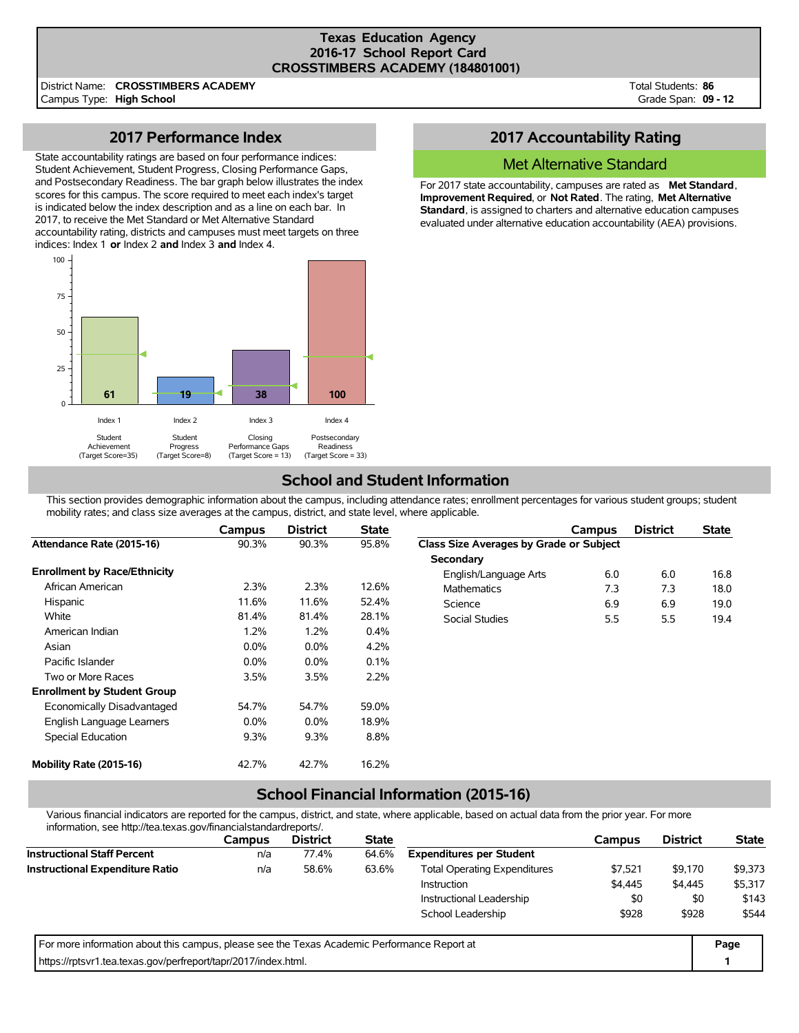#### **Texas Education Agency 2016-17 School Report Card CROSSTIMBERS ACADEMY (184801001)**

District Name: **CROSSTIMBERS ACADEMY**

Campus Type: **High School**

Total Students: **86** Grade Span: **09 - 12**

## **2017 Performance Index**

State accountability ratings are based on four performance indices: Student Achievement, Student Progress, Closing Performance Gaps, and Postsecondary Readiness. The bar graph below illustrates the index scores for this campus. The score required to meet each index's target is indicated below the index description and as a line on each bar. In 2017, to receive the Met Standard or Met Alternative Standard accountability rating, districts and campuses must meet targets on three indices: Index 1 **or** Index 2 **and** Index 3 **and** Index 4.



## **2017 Accountability Rating**

### Met Alternative Standard

For 2017 state accountability, campuses are rated as **Met Standard**, **Improvement Required**, or **Not Rated**. The rating, **Met Alternative Standard**, is assigned to charters and alternative education campuses evaluated under alternative education accountability (AEA) provisions.

# **School and Student Information**

This section provides demographic information about the campus, including attendance rates; enrollment percentages for various student groups; student mobility rates; and class size averages at the campus, district, and state level, where applicable.

|                                     | Campus  | <b>District</b> | <b>State</b> |                                         | Campus | <b>District</b> | <b>State</b> |
|-------------------------------------|---------|-----------------|--------------|-----------------------------------------|--------|-----------------|--------------|
| Attendance Rate (2015-16)           | 90.3%   | 90.3%           | 95.8%        | Class Size Averages by Grade or Subject |        |                 |              |
|                                     |         |                 |              | Secondary                               |        |                 |              |
| <b>Enrollment by Race/Ethnicity</b> |         |                 |              | English/Language Arts                   | 6.0    | 6.0             | 16.8         |
| African American                    | 2.3%    | 2.3%            | 12.6%        | <b>Mathematics</b>                      | 7.3    | 7.3             | 18.0         |
| Hispanic                            | 11.6%   | 11.6%           | 52.4%        | Science                                 | 6.9    | 6.9             | 19.0         |
| White                               | 81.4%   | 81.4%           | 28.1%        | <b>Social Studies</b>                   | 5.5    | 5.5             | 19.4         |
| American Indian                     | 1.2%    | 1.2%            | 0.4%         |                                         |        |                 |              |
| Asian                               | $0.0\%$ | $0.0\%$         | 4.2%         |                                         |        |                 |              |
| Pacific Islander                    | $0.0\%$ | 0.0%            | 0.1%         |                                         |        |                 |              |
| Two or More Races                   | 3.5%    | 3.5%            | 2.2%         |                                         |        |                 |              |
| <b>Enrollment by Student Group</b>  |         |                 |              |                                         |        |                 |              |
| Economically Disadvantaged          | 54.7%   | 54.7%           | 59.0%        |                                         |        |                 |              |
| English Language Learners           | $0.0\%$ | $0.0\%$         | 18.9%        |                                         |        |                 |              |
| Special Education                   | 9.3%    | 9.3%            | 8.8%         |                                         |        |                 |              |
| Mobility Rate (2015-16)             | 42.7%   | 42.7%           | 16.2%        |                                         |        |                 |              |

# **School Financial Information (2015-16)**

Various financial indicators are reported for the campus, district, and state, where applicable, based on actual data from the prior year. For more information, see http://tea.texas.gov/financialstandardreports/.

| illioilliauvil, see liiup.//tea.texas.gov/illialiciaistalidalulepolts/.                     |               |                 |              |                                     |         |                 |              |
|---------------------------------------------------------------------------------------------|---------------|-----------------|--------------|-------------------------------------|---------|-----------------|--------------|
|                                                                                             | <b>Campus</b> | <b>District</b> | <b>State</b> |                                     | Campus  | <b>District</b> | <b>State</b> |
| <b>Instructional Staff Percent</b>                                                          | n/a           | 77.4%           | 64.6%        | <b>Expenditures per Student</b>     |         |                 |              |
| <b>Instructional Expenditure Ratio</b>                                                      | n/a           | 58.6%           | 63.6%        | <b>Total Operating Expenditures</b> | \$7.521 | \$9.170         | \$9,373      |
|                                                                                             |               |                 |              | Instruction                         | \$4,445 | \$4,445         | \$5,317      |
|                                                                                             |               |                 |              | Instructional Leadership            | \$0     | \$0             | \$143        |
|                                                                                             |               |                 |              | School Leadership                   | \$928   | \$928           | \$544        |
| For more information about this campus, please see the Texas Academic Performance Report at |               |                 |              |                                     |         |                 | Page         |
| https://rptsvr1.tea.texas.gov/perfreport/tapr/2017/index.html.                              |               |                 |              |                                     |         |                 |              |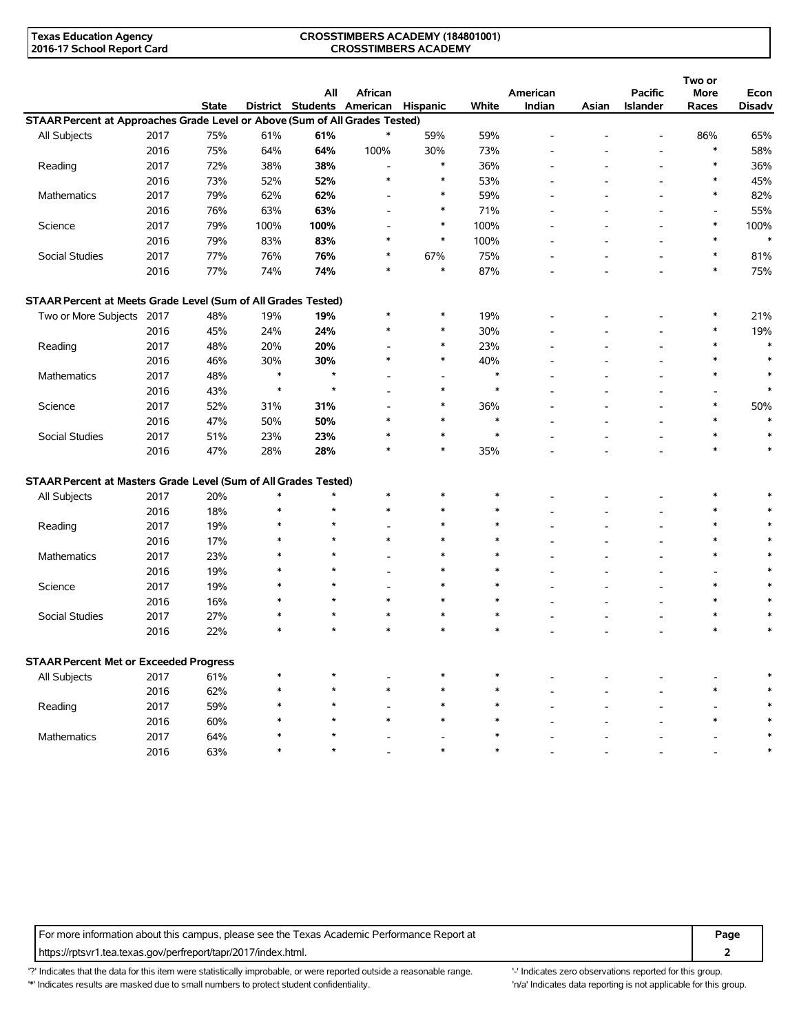#### **CROSSTIMBERS ACADEMY (184801001) CROSSTIMBERS ACADEMY**

|                                                                             |      |              |        | All                        | African                  |                          |        | American |                          | <b>Pacific</b>           | Two or<br><b>More</b>    | Econ          |
|-----------------------------------------------------------------------------|------|--------------|--------|----------------------------|--------------------------|--------------------------|--------|----------|--------------------------|--------------------------|--------------------------|---------------|
|                                                                             |      | <b>State</b> |        | District Students American |                          | Hispanic                 | White  | Indian   | Asian                    | <b>Islander</b>          | Races                    | <b>Disadv</b> |
| STAAR Percent at Approaches Grade Level or Above (Sum of All Grades Tested) |      |              |        |                            |                          |                          |        |          |                          |                          |                          |               |
| All Subjects                                                                | 2017 | 75%          | 61%    | 61%                        | $\ast$                   | 59%                      | 59%    |          |                          | $\overline{\phantom{a}}$ | 86%                      | 65%           |
|                                                                             | 2016 | 75%          | 64%    | 64%                        | 100%                     | 30%                      | 73%    |          |                          |                          | $\ast$                   | 58%           |
| Reading                                                                     | 2017 | 72%          | 38%    | 38%                        | $\overline{\phantom{a}}$ | $\ast$                   | 36%    |          |                          |                          | $\ast$                   | 36%           |
|                                                                             | 2016 | 73%          | 52%    | 52%                        | $\ast$                   | $\ast$                   | 53%    |          |                          | $\overline{a}$           | $\ast$                   | 45%           |
| <b>Mathematics</b>                                                          | 2017 | 79%          | 62%    | 62%                        |                          | $\ast$                   | 59%    |          |                          |                          | $\ast$                   | 82%           |
|                                                                             | 2016 | 76%          | 63%    | 63%                        |                          | $\ast$                   | 71%    |          |                          |                          | $\overline{\phantom{a}}$ | 55%           |
| Science                                                                     | 2017 | 79%          | 100%   | 100%                       | $\overline{\phantom{a}}$ | $\ast$                   | 100%   |          |                          | $\overline{\phantom{a}}$ | $\ast$                   | 100%          |
|                                                                             | 2016 | 79%          | 83%    | 83%                        | $\ast$                   | $\ast$                   | 100%   |          |                          | $\overline{a}$           | $\ast$                   | $\ast$        |
| Social Studies                                                              | 2017 | 77%          | 76%    | 76%                        | $\ast$                   | 67%                      | 75%    |          |                          |                          | $\ast$                   | 81%           |
|                                                                             | 2016 | 77%          | 74%    | 74%                        | $\ast$                   | $\ast$                   | 87%    |          |                          |                          | $\ast$                   | 75%           |
| STAAR Percent at Meets Grade Level (Sum of All Grades Tested)               |      |              |        |                            |                          |                          |        |          |                          |                          |                          |               |
| Two or More Subjects 2017                                                   |      | 48%          | 19%    | 19%                        | $\ast$                   | $\ast$                   | 19%    |          |                          |                          | $\ast$                   | 21%           |
|                                                                             | 2016 | 45%          | 24%    | 24%                        | $\ast$                   | $\ast$                   | 30%    |          |                          |                          | $\ast$                   | 19%           |
| Reading                                                                     | 2017 | 48%          | 20%    | 20%                        |                          | $\ast$                   | 23%    |          |                          |                          | $\ast$                   | $\ast$        |
|                                                                             | 2016 | 46%          | 30%    | 30%                        | $\ast$                   | $\ast$                   | 40%    |          |                          |                          | $\ast$                   | $\ast$        |
| <b>Mathematics</b>                                                          | 2017 | 48%          | $\ast$ | $\star$                    |                          | $\overline{\phantom{a}}$ | $\ast$ |          |                          |                          | $\ast$                   | $\ast$        |
|                                                                             | 2016 | 43%          | $\ast$ | $\star$                    |                          | $\ast$                   | $\ast$ |          |                          |                          |                          | $\ast$        |
| Science                                                                     | 2017 | 52%          | 31%    | 31%                        | $\overline{\phantom{a}}$ | $\ast$                   | 36%    |          |                          |                          | $\ast$                   | 50%           |
|                                                                             | 2016 | 47%          | 50%    | 50%                        | $\ast$                   | $\ast$                   | $\ast$ |          |                          | $\overline{\phantom{a}}$ | $\ast$                   | $\ast$        |
|                                                                             |      |              |        |                            | $\ast$                   | $\ast$                   | $\ast$ |          |                          |                          | $\ast$                   | $\ast$        |
| Social Studies                                                              | 2017 | 51%          | 23%    | 23%                        | $\ast$                   | $\ast$                   |        |          |                          |                          | $\ast$                   | $\ast$        |
|                                                                             | 2016 | 47%          | 28%    | 28%                        |                          |                          | 35%    |          |                          |                          |                          |               |
| STAAR Percent at Masters Grade Level (Sum of All Grades Tested)             |      |              |        |                            |                          |                          |        |          |                          |                          |                          |               |
| All Subjects                                                                | 2017 | 20%          | $\ast$ | $\star$                    | $\ast$                   | $\ast$                   | $\ast$ |          |                          |                          | *                        |               |
|                                                                             | 2016 | 18%          | $\ast$ | $\star$                    | $\ast$                   | $\ast$                   | $\ast$ |          |                          |                          | $\ast$                   | $\ast$        |
| Reading                                                                     | 2017 | 19%          | $\ast$ | $\star$                    |                          | $\ast$                   | $\ast$ |          |                          |                          | $\ast$                   | $\ast$        |
|                                                                             | 2016 | 17%          | $\ast$ | $\star$                    | $\ast$                   | $\ast$                   | $\ast$ |          |                          |                          | *                        | $\ast$        |
| <b>Mathematics</b>                                                          | 2017 | 23%          | $\ast$ | $\star$                    |                          | $\ast$                   | $\ast$ |          |                          |                          | $\ast$                   | $\ast$        |
|                                                                             | 2016 | 19%          | *      | $\star$                    |                          | $\ast$                   | $\ast$ |          |                          |                          |                          |               |
| Science                                                                     | 2017 | 19%          | $\ast$ | $\star$                    |                          | $\ast$                   | $\ast$ |          |                          |                          | $\ast$                   |               |
|                                                                             | 2016 | 16%          | $\ast$ | $\star$                    | $\ast$                   | $\ast$                   | $\ast$ |          | $\overline{\phantom{a}}$ | $\overline{\phantom{a}}$ | $\ast$                   |               |
| Social Studies                                                              | 2017 | 27%          | $\ast$ | $\star$                    | $\ast$                   | $\ast$                   | $\ast$ |          |                          |                          | $\ast$                   |               |
|                                                                             | 2016 | 22%          | $\ast$ | ÷                          | $\ast$                   | $\ast$                   |        |          |                          |                          | $\ast$                   |               |
| <b>STAAR Percent Met or Exceeded Progress</b>                               |      |              |        |                            |                          |                          |        |          |                          |                          |                          |               |
| All Subjects                                                                | 2017 | 61%          |        |                            |                          |                          |        |          |                          |                          |                          |               |
|                                                                             | 2016 | 62%          | *      | $\star$                    | $\ast$                   | $\ast$                   | $\ast$ |          |                          |                          |                          | ∗             |
| Reading                                                                     | 2017 | 59%          |        | $\star$                    |                          | ∗                        | ∗      |          |                          |                          |                          | ∗             |
|                                                                             | 2016 | 60%          |        |                            | $\ast$                   | $\ast$                   |        |          |                          |                          | $\ast$                   | ∗             |
| Mathematics                                                                 | 2017 | 64%          |        |                            |                          |                          |        |          |                          |                          |                          |               |
|                                                                             | 2016 | 63%          |        |                            |                          | $\ast$                   |        |          |                          |                          |                          | $\ast$        |
|                                                                             |      |              |        |                            |                          |                          |        |          |                          |                          |                          |               |

For more information about this campus, please see the Texas Academic Performance Report at **Page Page** https://rptsvr1.tea.texas.gov/perfreport/tapr/2017/index.html. **2**

'?' Indicates that the data for this item were statistically improbable, or were reported outside a reasonable range. '' Indicates zero observations reported for this group. '\*' Indicates results are masked due to small numbers to protect student confidentiality. Ma' Indicates data reporting is not applicable for this group.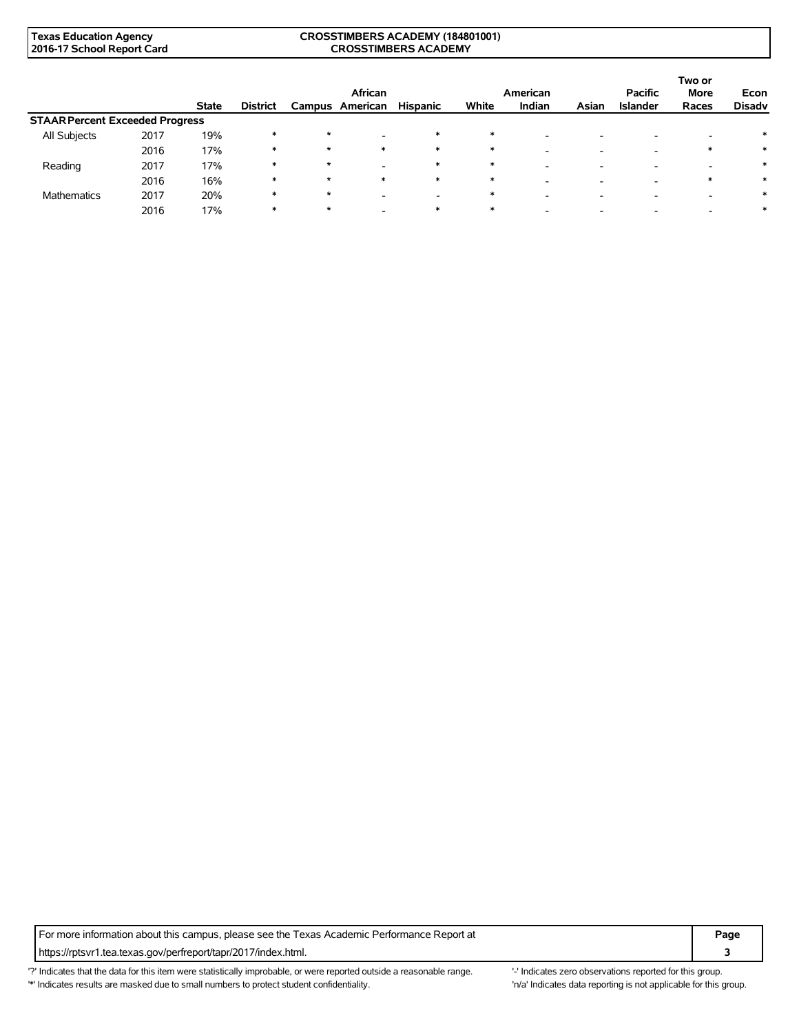#### **CROSSTIMBERS ACADEMY (184801001) CROSSTIMBERS ACADEMY**

|                                        |      |              |                 | African |          |                          |        | American                 |       | <b>Pacific</b>  | Two or<br><b>More</b> | Econ          |
|----------------------------------------|------|--------------|-----------------|---------|----------|--------------------------|--------|--------------------------|-------|-----------------|-----------------------|---------------|
|                                        |      | <b>State</b> | <b>District</b> | Campus  | American | <b>Hispanic</b>          | White  | Indian                   | Asian | <b>Islander</b> | Races                 | <b>Disadv</b> |
| <b>STAAR Percent Exceeded Progress</b> |      |              |                 |         |          |                          |        |                          |       |                 |                       |               |
| All Subjects                           | 2017 | 19%          | *               | $\star$ |          | $\ast$                   | ∗      | -                        |       |                 |                       |               |
|                                        | 2016 | 17%          | $\ast$          | $\star$ | $\ast$   | $\ast$                   | $\ast$ | -                        |       | -               |                       |               |
| Reading                                | 2017 | 17%          | $\ast$          | $\star$ |          | $\ast$                   | ∗      | -                        |       |                 |                       | ∗             |
|                                        | 2016 | 16%          | $\ast$          | $\star$ | $\ast$   | $\ast$                   | $\ast$ | -                        |       | -               |                       |               |
| <b>Mathematics</b>                     | 2017 | 20%          | $\ast$          | $\star$ |          | $\overline{\phantom{a}}$ |        | $\overline{\phantom{a}}$ |       |                 |                       | ∗             |
|                                        | 2016 | 17%          | $\ast$          | $\star$ |          | $\ast$                   | $\ast$ | -                        |       |                 |                       |               |

For more information about this campus, please see the Texas Academic Performance Report at **Page Page** https://rptsvr1.tea.texas.gov/perfreport/tapr/2017/index.html. **3**

'?' Indicates that the data for this item were statistically improbable, or were reported outside a reasonable range. '' Indicates zero observations reported for this group. '\*' Indicates results are masked due to small numbers to protect student confidentiality. Ma' Indicates data reporting is not applicable for this group.